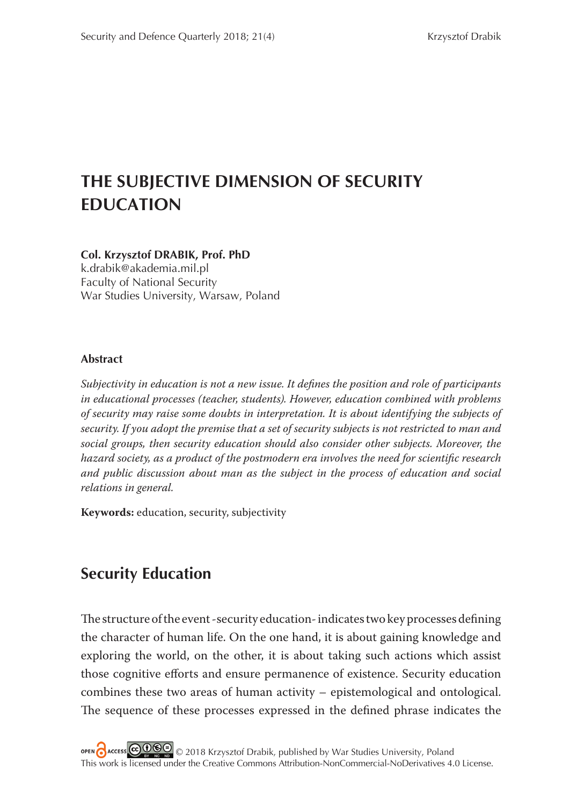# **THE SUBJECTIVE DIMENSION OF SECURITY EDUCATION**

### **Col. Krzysztof DRABIK, Prof. PhD**

k.drabik@akademia.mil.pl Faculty of National Security War Studies University, Warsaw, Poland

#### **Abstract**

*Subjectivity in education is not a new issue. It defines the position and role of participants in educational processes (teacher, students). However, education combined with problems of security may raise some doubts in interpretation. It is about identifying the subjects of security. If you adopt the premise that a set of security subjects is not restricted to man and social groups, then security education should also consider other subjects. Moreover, the*  hazard society, as a product of the postmodern era involves the need for scientific research *and public discussion about man as the subject in the process of education and social relations in general.*

**Keywords:** education, security, subjectivity

## **Security Education**

The structure of the event-security education-indicates two key processes defining the character of human life. On the one hand, it is about gaining knowledge and exploring the world, on the other, it is about taking such actions which assist those cognitive efforts and ensure permanence of existence. Security education combines these two areas of human activity – epistemological and ontological. The sequence of these processes expressed in the defined phrase indicates the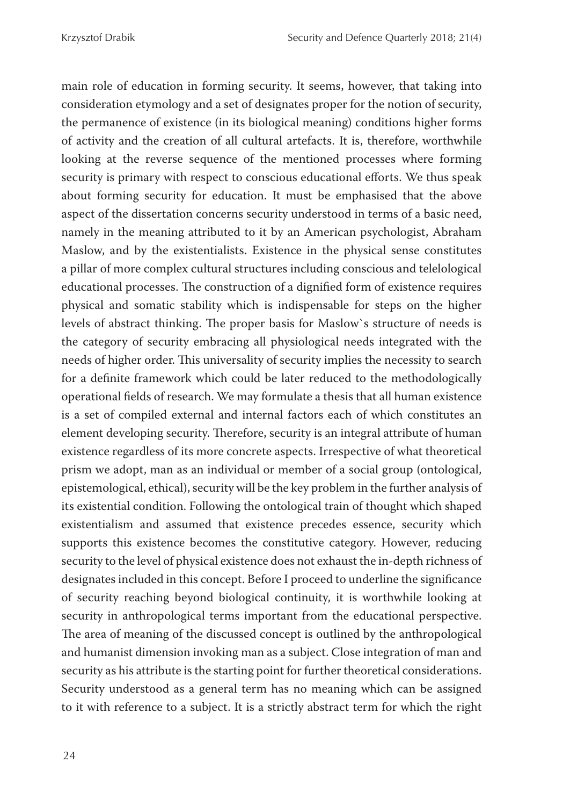main role of education in forming security. It seems, however, that taking into consideration etymology and a set of designates proper for the notion of security, the permanence of existence (in its biological meaning) conditions higher forms of activity and the creation of all cultural artefacts. It is, therefore, worthwhile looking at the reverse sequence of the mentioned processes where forming security is primary with respect to conscious educational efforts. We thus speak about forming security for education. It must be emphasised that the above aspect of the dissertation concerns security understood in terms of a basic need, namely in the meaning attributed to it by an American psychologist, Abraham Maslow, and by the existentialists. Existence in the physical sense constitutes a pillar of more complex cultural structures including conscious and telelological educational processes. The construction of a dignified form of existence requires physical and somatic stability which is indispensable for steps on the higher levels of abstract thinking. The proper basis for Maslow's structure of needs is the category of security embracing all physiological needs integrated with the needs of higher order. This universality of security implies the necessity to search for a definite framework which could be later reduced to the methodologically operational fields of research. We may formulate a thesis that all human existence is a set of compiled external and internal factors each of which constitutes an element developing security. Therefore, security is an integral attribute of human existence regardless of its more concrete aspects. Irrespective of what theoretical prism we adopt, man as an individual or member of a social group (ontological, epistemological, ethical), security will be the key problem in the further analysis of its existential condition. Following the ontological train of thought which shaped existentialism and assumed that existence precedes essence, security which supports this existence becomes the constitutive category. However, reducing security to the level of physical existence does not exhaust the in-depth richness of designates included in this concept. Before I proceed to underline the significance of security reaching beyond biological continuity, it is worthwhile looking at security in anthropological terms important from the educational perspective. The area of meaning of the discussed concept is outlined by the anthropological and humanist dimension invoking man as a subject. Close integration of man and security as his attribute is the starting point for further theoretical considerations. Security understood as a general term has no meaning which can be assigned to it with reference to a subject. It is a strictly abstract term for which the right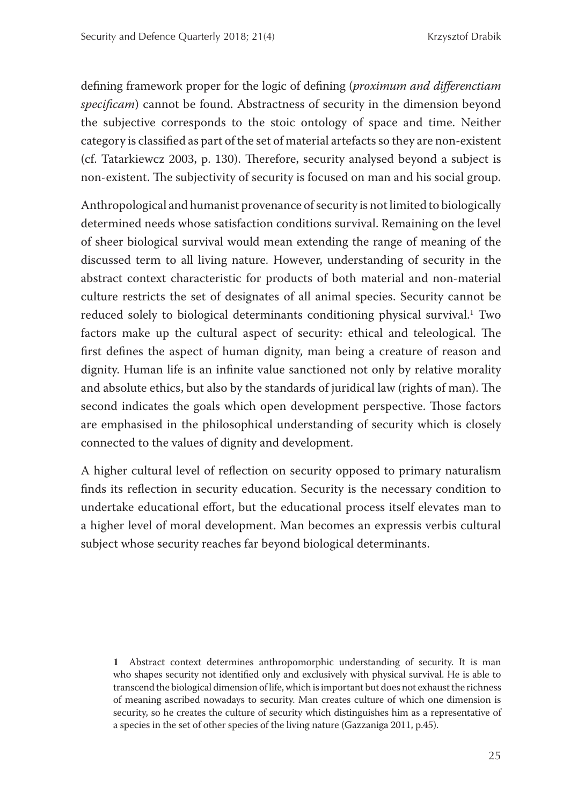defining framework proper for the logic of defining (*proximum and differenctiam* specificam) cannot be found. Abstractness of security in the dimension beyond the subjective corresponds to the stoic ontology of space and time. Neither category is classified as part of the set of material artefacts so they are non-existent (cf. Tatarkiewcz 2003, p. 130). Therefore, security analysed beyond a subject is non-existent. The subjectivity of security is focused on man and his social group.

Anthropological and humanist provenance of security is not limited to biologically determined needs whose satisfaction conditions survival. Remaining on the level of sheer biological survival would mean extending the range of meaning of the discussed term to all living nature. However, understanding of security in the abstract context characteristic for products of both material and non-material culture restricts the set of designates of all animal species. Security cannot be reduced solely to biological determinants conditioning physical survival.<sup>1</sup> Two factors make up the cultural aspect of security: ethical and teleological. The first defines the aspect of human dignity, man being a creature of reason and dignity. Human life is an infinite value sanctioned not only by relative morality and absolute ethics, but also by the standards of juridical law (rights of man). The second indicates the goals which open development perspective. Those factors are emphasised in the philosophical understanding of security which is closely connected to the values of dignity and development.

A higher cultural level of reflection on security opposed to primary naturalism finds its reflection in security education. Security is the necessary condition to undertake educational effort, but the educational process itself elevates man to a higher level of moral development. Man becomes an expressis verbis cultural subject whose security reaches far beyond biological determinants.

**1** Abstract context determines anthropomorphic understanding of security. It is man who shapes security not identified only and exclusively with physical survival. He is able to transcend the biological dimension of life, which is important but does not exhaust the richness of meaning ascribed nowadays to security. Man creates culture of which one dimension is security, so he creates the culture of security which distinguishes him as a representative of a species in the set of other species of the living nature (Gazzaniga 2011, p.45).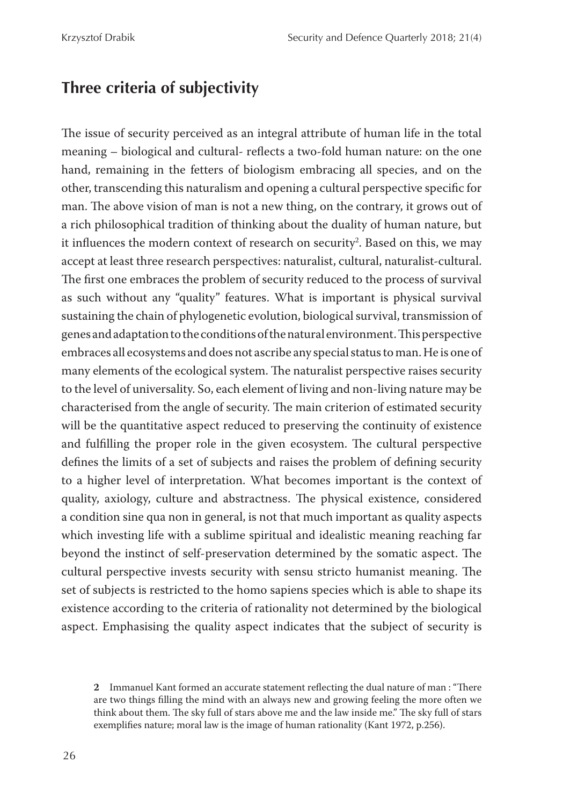## **Three criteria of subjectivity**

The issue of security perceived as an integral attribute of human life in the total meaning – biological and cultural- reflects a two-fold human nature: on the one hand, remaining in the fetters of biologism embracing all species, and on the other, transcending this naturalism and opening a cultural perspective specific for man. The above vision of man is not a new thing, on the contrary, it grows out of a rich philosophical tradition of thinking about the duality of human nature, but it influences the modern context of research on security<sup>2</sup>. Based on this, we may accept at least three research perspectives: naturalist, cultural, naturalist-cultural. The first one embraces the problem of security reduced to the process of survival as such without any "quality" features. What is important is physical survival sustaining the chain of phylogenetic evolution, biological survival, transmission of genes and adaptation to the conditions of the natural environment. This perspective embraces all ecosystems and does not ascribe any special status to man. He is one of many elements of the ecological system. The naturalist perspective raises security to the level of universality. So, each element of living and non-living nature may be characterised from the angle of security. The main criterion of estimated security will be the quantitative aspect reduced to preserving the continuity of existence and fulfilling the proper role in the given ecosystem. The cultural perspective defines the limits of a set of subjects and raises the problem of defining security to a higher level of interpretation. What becomes important is the context of quality, axiology, culture and abstractness. The physical existence, considered a condition sine qua non in general, is not that much important as quality aspects which investing life with a sublime spiritual and idealistic meaning reaching far beyond the instinct of self-preservation determined by the somatic aspect. The cultural perspective invests security with sensu stricto humanist meaning. The set of subjects is restricted to the homo sapiens species which is able to shape its existence according to the criteria of rationality not determined by the biological aspect. Emphasising the quality aspect indicates that the subject of security is

**<sup>2</sup>** Immanuel Kant formed an accurate statement reflecting the dual nature of man: "There are two things filling the mind with an always new and growing feeling the more often we think about them. The sky full of stars above me and the law inside me." The sky full of stars exemplifies nature; moral law is the image of human rationality (Kant 1972, p.256).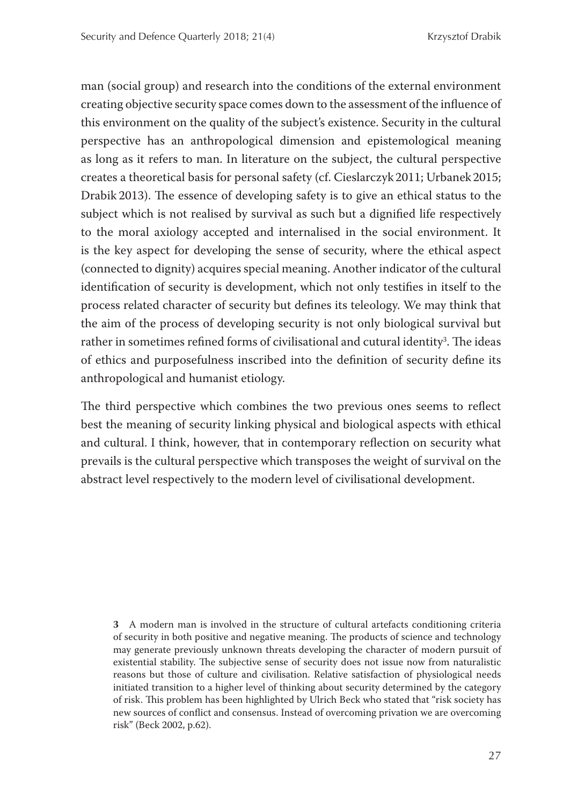man (social group) and research into the conditions of the external environment creating objective security space comes down to the assessment of the influence of this environment on the quality of the subject's existence. Security in the cultural perspective has an anthropological dimension and epistemological meaning as long as it refers to man. In literature on the subject, the cultural perspective creates a theoretical basis for personal safety (cf. Cieslarczyk 2011; Urbanek 2015; Drabik 2013). The essence of developing safety is to give an ethical status to the subject which is not realised by survival as such but a dignified life respectively to the moral axiology accepted and internalised in the social environment. It is the key aspect for developing the sense of security, where the ethical aspect (connected to dignity) acquires special meaning. Another indicator of the cultural identification of security is development, which not only testifies in itself to the process related character of security but defines its teleology. We may think that the aim of the process of developing security is not only biological survival but rather in sometimes refined forms of civilisational and cutural identity<sup>3</sup>. The ideas of ethics and purposefulness inscribed into the definition of security define its anthropological and humanist etiology.

The third perspective which combines the two previous ones seems to reflect best the meaning of security linking physical and biological aspects with ethical and cultural. I think, however, that in contemporary reflection on security what prevails is the cultural perspective which transposes the weight of survival on the abstract level respectively to the modern level of civilisational development.

**3** A modern man is involved in the structure of cultural artefacts conditioning criteria of security in both positive and negative meaning. The products of science and technology may generate previously unknown threats developing the character of modern pursuit of existential stability. The subjective sense of security does not issue now from naturalistic reasons but those of culture and civilisation. Relative satisfaction of physiological needs initiated transition to a higher level of thinking about security determined by the category of risk. This problem has been highlighted by Ulrich Beck who stated that "risk society has new sources of conflict and consensus. Instead of overcoming privation we are overcoming risk" (Beck 2002, p.62).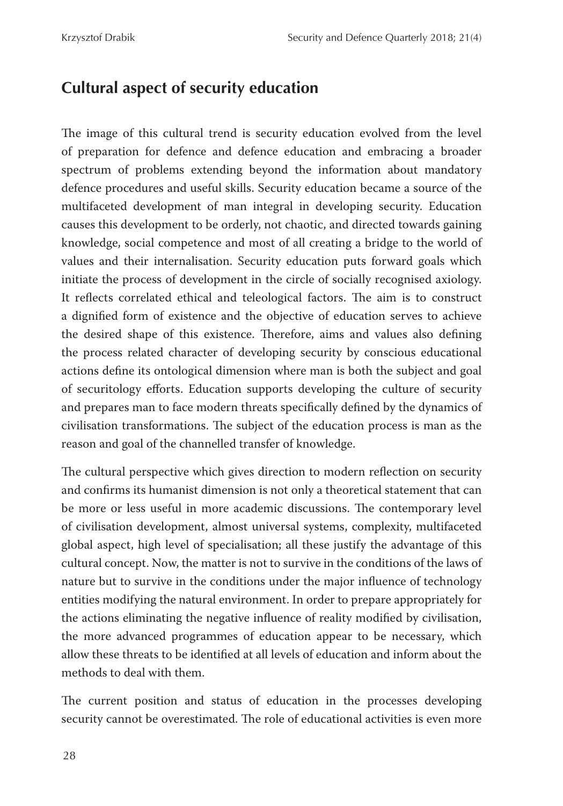## **Cultural aspect of security education**

The image of this cultural trend is security education evolved from the level of preparation for defence and defence education and embracing a broader spectrum of problems extending beyond the information about mandatory defence procedures and useful skills. Security education became a source of the multifaceted development of man integral in developing security. Education causes this development to be orderly, not chaotic, and directed towards gaining knowledge, social competence and most of all creating a bridge to the world of values and their internalisation. Security education puts forward goals which initiate the process of development in the circle of socially recognised axiology. It reflects correlated ethical and teleological factors. The aim is to construct a dignified form of existence and the objective of education serves to achieve the desired shape of this existence. Therefore, aims and values also defining the process related character of developing security by conscious educational actions define its ontological dimension where man is both the subject and goal of securitology efforts. Education supports developing the culture of security and prepares man to face modern threats specifically defined by the dynamics of civilisation transformations. The subject of the education process is man as the reason and goal of the channelled transfer of knowledge.

The cultural perspective which gives direction to modern reflection on security and confirms its humanist dimension is not only a theoretical statement that can be more or less useful in more academic discussions. The contemporary level of civilisation development, almost universal systems, complexity, multifaceted global aspect, high level of specialisation; all these justify the advantage of this cultural concept. Now, the matter is not to survive in the conditions of the laws of nature but to survive in the conditions under the major influence of technology entities modifying the natural environment. In order to prepare appropriately for the actions eliminating the negative influence of reality modified by civilisation, the more advanced programmes of education appear to be necessary, which allow these threats to be identified at all levels of education and inform about the methods to deal with them.

The current position and status of education in the processes developing security cannot be overestimated. The role of educational activities is even more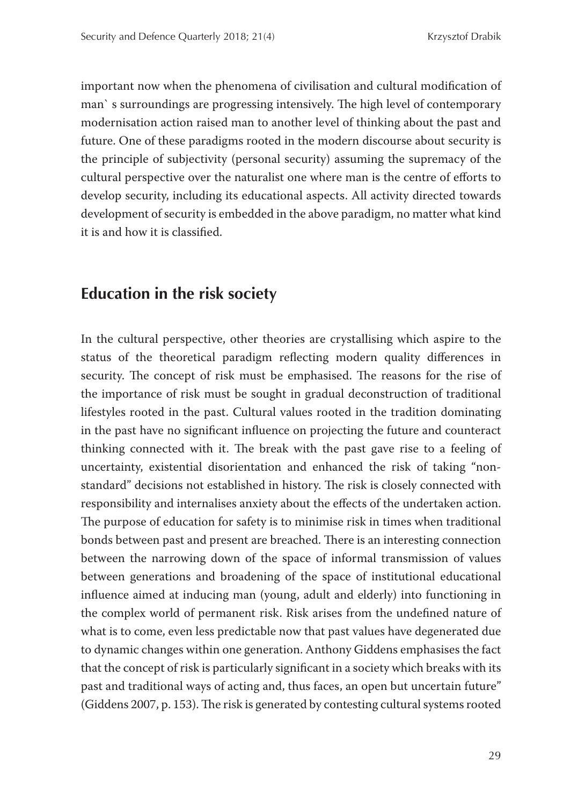important now when the phenomena of civilisation and cultural modification of man's surroundings are progressing intensively. The high level of contemporary modernisation action raised man to another level of thinking about the past and future. One of these paradigms rooted in the modern discourse about security is the principle of subjectivity (personal security) assuming the supremacy of the cultural perspective over the naturalist one where man is the centre of efforts to develop security, including its educational aspects. All activity directed towards development of security is embedded in the above paradigm, no matter what kind it is and how it is classified.

## **Education in the risk society**

In the cultural perspective, other theories are crystallising which aspire to the status of the theoretical paradigm reflecting modern quality differences in security. The concept of risk must be emphasised. The reasons for the rise of the importance of risk must be sought in gradual deconstruction of traditional lifestyles rooted in the past. Cultural values rooted in the tradition dominating in the past have no significant influence on projecting the future and counteract thinking connected with it. The break with the past gave rise to a feeling of uncertainty, existential disorientation and enhanced the risk of taking "nonstandard" decisions not established in history. The risk is closely connected with responsibility and internalises anxiety about the effects of the undertaken action. The purpose of education for safety is to minimise risk in times when traditional bonds between past and present are breached. There is an interesting connection between the narrowing down of the space of informal transmission of values between generations and broadening of the space of institutional educational influence aimed at inducing man (young, adult and elderly) into functioning in the complex world of permanent risk. Risk arises from the undefined nature of what is to come, even less predictable now that past values have degenerated due to dynamic changes within one generation. Anthony Giddens emphasises the fact that the concept of risk is particularly significant in a society which breaks with its past and traditional ways of acting and, thus faces, an open but uncertain future" (Giddens 2007, p. 153). The risk is generated by contesting cultural systems rooted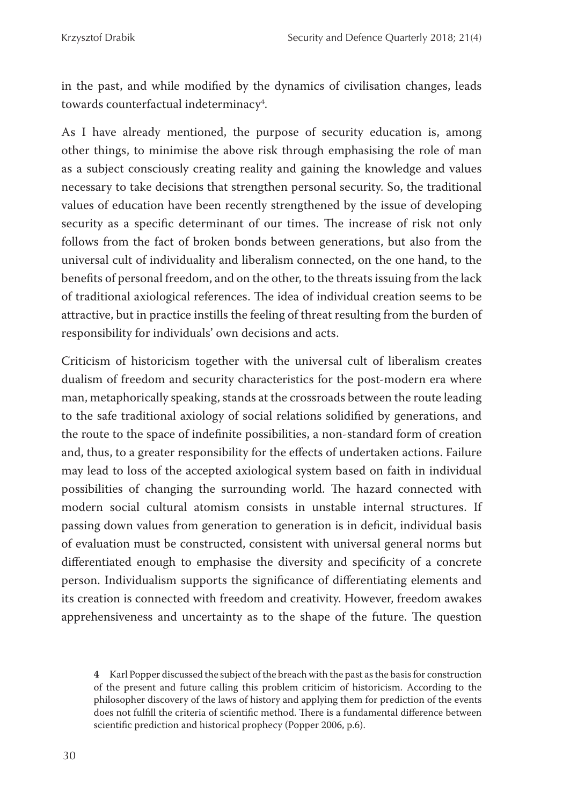in the past, and while modified by the dynamics of civilisation changes, leads towards counterfactual indeterminacy $\rlap{.}^4$ .

As I have already mentioned, the purpose of security education is, among other things, to minimise the above risk through emphasising the role of man as a subject consciously creating reality and gaining the knowledge and values necessary to take decisions that strengthen personal security. So, the traditional values of education have been recently strengthened by the issue of developing security as a specific determinant of our times. The increase of risk not only follows from the fact of broken bonds between generations, but also from the universal cult of individuality and liberalism connected, on the one hand, to the benefits of personal freedom, and on the other, to the threats issuing from the lack of traditional axiological references. The idea of individual creation seems to be attractive, but in practice instills the feeling of threat resulting from the burden of responsibility for individuals' own decisions and acts.

Criticism of historicism together with the universal cult of liberalism creates dualism of freedom and security characteristics for the post-modern era where man, metaphorically speaking, stands at the crossroads between the route leading to the safe traditional axiology of social relations solidified by generations, and the route to the space of indefinite possibilities, a non-standard form of creation and, thus, to a greater responsibility for the effects of undertaken actions. Failure may lead to loss of the accepted axiological system based on faith in individual possibilities of changing the surrounding world. The hazard connected with modern social cultural atomism consists in unstable internal structures. If passing down values from generation to generation is in deficit, individual basis of evaluation must be constructed, consistent with universal general norms but differentiated enough to emphasise the diversity and specificity of a concrete person. Individualism supports the significance of differentiating elements and its creation is connected with freedom and creativity. However, freedom awakes apprehensiveness and uncertainty as to the shape of the future. The question

**<sup>4</sup>** Karl Popper discussed the subject of the breach with the past as the basis for construction of the present and future calling this problem criticim of historicism. According to the philosopher discovery of the laws of history and applying them for prediction of the events does not fulfill the criteria of scientific method. There is a fundamental difference between scientific prediction and historical prophecy (Popper 2006, p.6).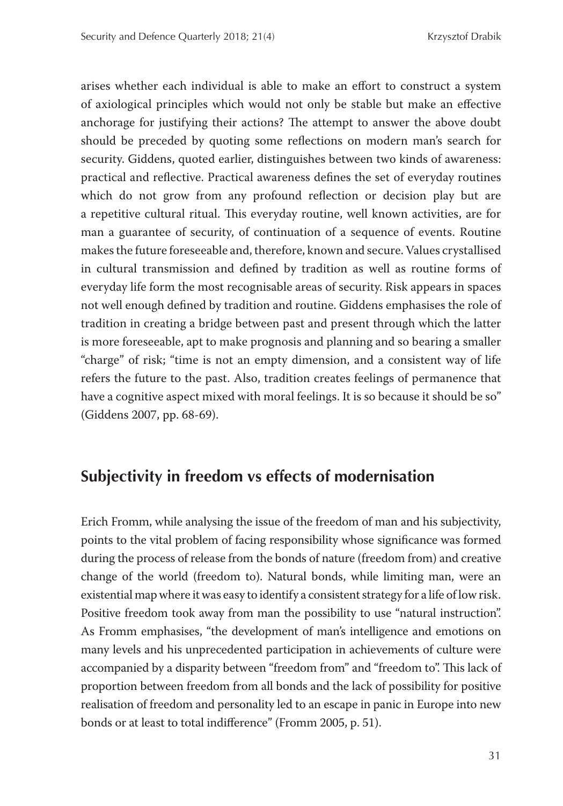arises whether each individual is able to make an effort to construct a system of axiological principles which would not only be stable but make an effective anchorage for justifying their actions? The attempt to answer the above doubt should be preceded by quoting some reflections on modern man's search for security. Giddens, quoted earlier, distinguishes between two kinds of awareness: practical and reflective. Practical awareness defines the set of everyday routines which do not grow from any profound reflection or decision play but are a repetitive cultural ritual. This everyday routine, well known activities, are for man a guarantee of security, of continuation of a sequence of events. Routine makes the future foreseeable and, therefore, known and secure. Values crystallised in cultural transmission and defined by tradition as well as routine forms of everyday life form the most recognisable areas of security. Risk appears in spaces not well enough defined by tradition and routine. Giddens emphasises the role of tradition in creating a bridge between past and present through which the latter is more foreseeable, apt to make prognosis and planning and so bearing a smaller "charge" of risk; "time is not an empty dimension, and a consistent way of life refers the future to the past. Also, tradition creates feelings of permanence that have a cognitive aspect mixed with moral feelings. It is so because it should be so" (Giddens 2007, pp. 68-69).

## **Subjectivity in freedom vs effects of modernisation**

Erich Fromm, while analysing the issue of the freedom of man and his subjectivity, points to the vital problem of facing responsibility whose significance was formed during the process of release from the bonds of nature (freedom from) and creative change of the world (freedom to). Natural bonds, while limiting man, were an existential map where it was easy to identify a consistent strategy for a life of low risk. Positive freedom took away from man the possibility to use "natural instruction". As Fromm emphasises, "the development of man's intelligence and emotions on many levels and his unprecedented participation in achievements of culture were accompanied by a disparity between "freedom from" and "freedom to". This lack of proportion between freedom from all bonds and the lack of possibility for positive realisation of freedom and personality led to an escape in panic in Europe into new bonds or at least to total indifference" (Fromm 2005, p. 51).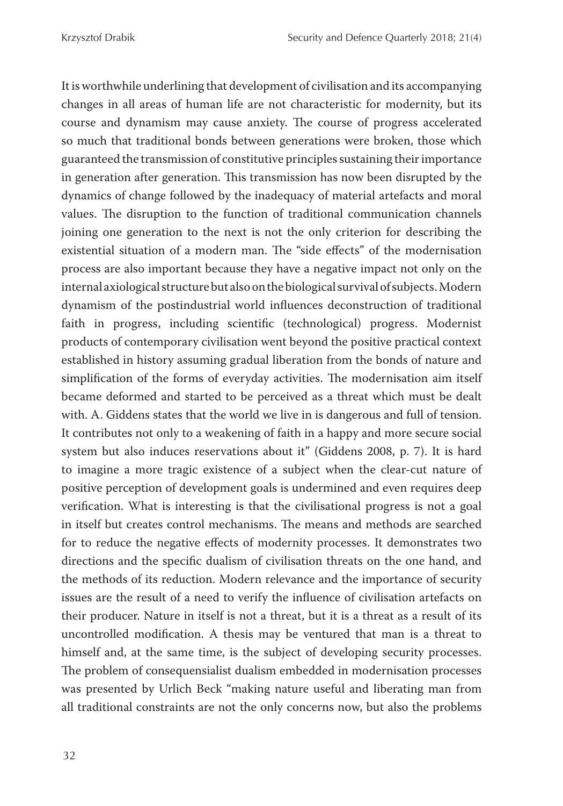It is worthwhile underlining that development of civilisation and its accompanying changes in all areas of human life are not characteristic for modernity, but its course and dynamism may cause anxiety. The course of progress accelerated so much that traditional bonds between generations were broken, those which guaranteed the transmission of constitutive principles sustaining their importance in generation after generation. This transmission has now been disrupted by the dynamics of change followed by the inadequacy of material artefacts and moral values. The disruption to the function of traditional communication channels joining one generation to the next is not the only criterion for describing the existential situation of a modern man. The "side effects" of the modernisation process are also important because they have a negative impact not only on the internal axiological structure but also on the biological survival of subjects. Modern dynamism of the postindustrial world influences deconstruction of traditional faith in progress, including scientific (technological) progress. Modernist products of contemporary civilisation went beyond the positive practical context established in history assuming gradual liberation from the bonds of nature and simplification of the forms of everyday activities. The modernisation aim itself became deformed and started to be perceived as a threat which must be dealt with. A. Giddens states that the world we live in is dangerous and full of tension. It contributes not only to a weakening of faith in a happy and more secure social system but also induces reservations about it" (Giddens 2008, p. 7). It is hard to imagine a more tragic existence of a subject when the clear-cut nature of positive perception of development goals is undermined and even requires deep verification. What is interesting is that the civilisational progress is not a goal in itself but creates control mechanisms. The means and methods are searched for to reduce the negative effects of modernity processes. It demonstrates two directions and the specific dualism of civilisation threats on the one hand, and the methods of its reduction. Modern relevance and the importance of security issues are the result of a need to verify the influence of civilisation artefacts on their producer. Nature in itself is not a threat, but it is a threat as a result of its uncontrolled modification. A thesis may be ventured that man is a threat to himself and, at the same time, is the subject of developing security processes. The problem of consequensialist dualism embedded in modernisation processes was presented by Urlich Beck "making nature useful and liberating man from all traditional constraints are not the only concerns now, but also the problems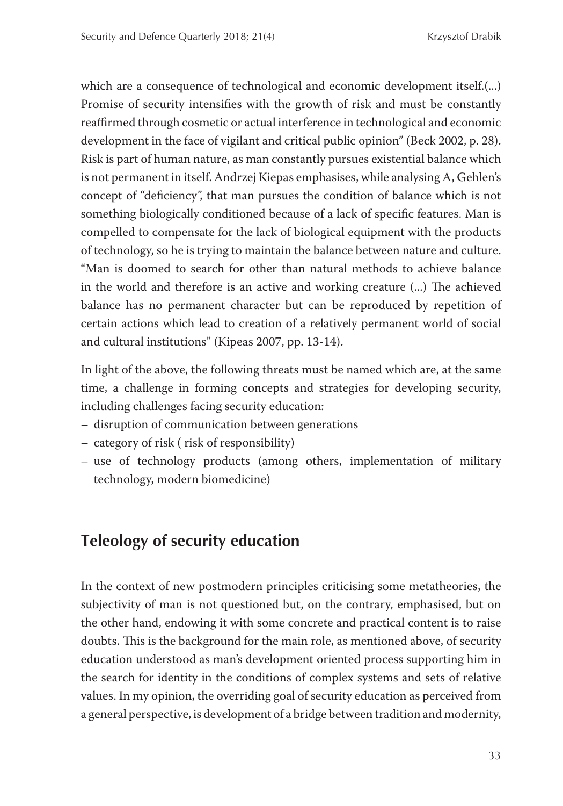which are a consequence of technological and economic development itself.(...) Promise of security intensifies with the growth of risk and must be constantly reaffirmed through cosmetic or actual interference in technological and economic development in the face of vigilant and critical public opinion" (Beck 2002, p. 28). Risk is part of human nature, as man constantly pursues existential balance which is not permanent in itself. Andrzej Kiepas emphasises, while analysing A, Gehlen's concept of "deficiency", that man pursues the condition of balance which is not something biologically conditioned because of a lack of specific features. Man is compelled to compensate for the lack of biological equipment with the products of technology, so he is trying to maintain the balance between nature and culture. "Man is doomed to search for other than natural methods to achieve balance in the world and therefore is an active and working creature  $(\ldots)$  The achieved balance has no permanent character but can be reproduced by repetition of certain actions which lead to creation of a relatively permanent world of social and cultural institutions" (Kipeas 2007, pp. 13-14).

In light of the above, the following threats must be named which are, at the same time, a challenge in forming concepts and strategies for developing security, including challenges facing security education:

- disruption of communication between generations
- category of risk ( risk of responsibility)
- use of technology products (among others, implementation of military technology, modern biomedicine)

## **Teleology of security education**

In the context of new postmodern principles criticising some metatheories, the subjectivity of man is not questioned but, on the contrary, emphasised, but on the other hand, endowing it with some concrete and practical content is to raise doubts. This is the background for the main role, as mentioned above, of security education understood as man's development oriented process supporting him in the search for identity in the conditions of complex systems and sets of relative values. In my opinion, the overriding goal of security education as perceived from a general perspective, is development of a bridge between tradition and modernity,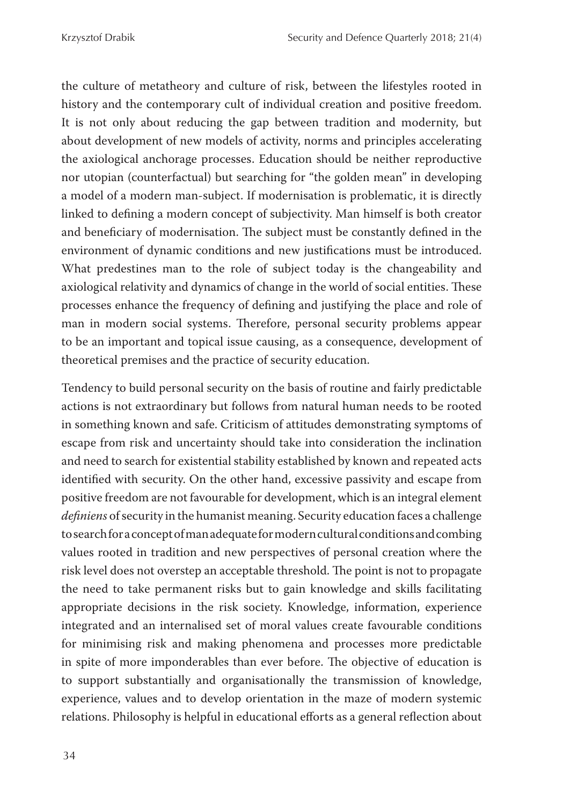the culture of metatheory and culture of risk, between the lifestyles rooted in history and the contemporary cult of individual creation and positive freedom. It is not only about reducing the gap between tradition and modernity, but about development of new models of activity, norms and principles accelerating the axiological anchorage processes. Education should be neither reproductive nor utopian (counterfactual) but searching for "the golden mean" in developing a model of a modern man-subject. If modernisation is problematic, it is directly linked to defining a modern concept of subjectivity. Man himself is both creator and beneficiary of modernisation. The subject must be constantly defined in the environment of dynamic conditions and new justifications must be introduced. What predestines man to the role of subject today is the changeability and axiological relativity and dynamics of change in the world of social entities. These processes enhance the frequency of defining and justifying the place and role of man in modern social systems. Therefore, personal security problems appear to be an important and topical issue causing, as a consequence, development of theoretical premises and the practice of security education.

Tendency to build personal security on the basis of routine and fairly predictable actions is not extraordinary but follows from natural human needs to be rooted in something known and safe. Criticism of attitudes demonstrating symptoms of escape from risk and uncertainty should take into consideration the inclination and need to search for existential stability established by known and repeated acts identified with security. On the other hand, excessive passivity and escape from positive freedom are not favourable for development, which is an integral element definiens of security in the humanist meaning. Security education faces a challenge to search for a concept of man adequate for modern cultural conditions and combing values rooted in tradition and new perspectives of personal creation where the risk level does not overstep an acceptable threshold. The point is not to propagate the need to take permanent risks but to gain knowledge and skills facilitating appropriate decisions in the risk society. Knowledge, information, experience integrated and an internalised set of moral values create favourable conditions for minimising risk and making phenomena and processes more predictable in spite of more imponderables than ever before. The objective of education is to support substantially and organisationally the transmission of knowledge, experience, values and to develop orientation in the maze of modern systemic relations. Philosophy is helpful in educational efforts as a general reflection about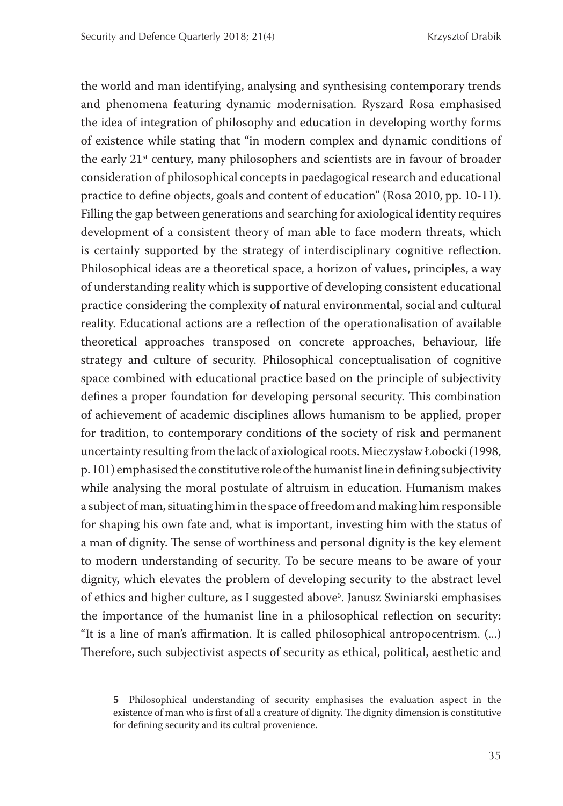the world and man identifying, analysing and synthesising contemporary trends and phenomena featuring dynamic modernisation. Ryszard Rosa emphasised the idea of integration of philosophy and education in developing worthy forms of existence while stating that "in modern complex and dynamic conditions of the early 21st century, many philosophers and scientists are in favour of broader consideration of philosophical concepts in paedagogical research and educational practice to define objects, goals and content of education" (Rosa 2010, pp. 10-11). Filling the gap between generations and searching for axiological identity requires development of a consistent theory of man able to face modern threats, which is certainly supported by the strategy of interdisciplinary cognitive reflection. Philosophical ideas are a theoretical space, a horizon of values, principles, a way of understanding reality which is supportive of developing consistent educational practice considering the complexity of natural environmental, social and cultural reality. Educational actions are a reflection of the operationalisation of available theoretical approaches transposed on concrete approaches, behaviour, life strategy and culture of security. Philosophical conceptualisation of cognitive space combined with educational practice based on the principle of subjectivity defines a proper foundation for developing personal security. This combination of achievement of academic disciplines allows humanism to be applied, proper for tradition, to contemporary conditions of the society of risk and permanent uncertainty resulting from the lack of axiological roots. Mieczysław Łobocki (1998,  $p. 101$ ) emphasised the constitutive role of the humanist line in defining subjectivity while analysing the moral postulate of altruism in education. Humanism makes a subject of man, situating him in the space of freedom and making him responsible for shaping his own fate and, what is important, investing him with the status of a man of dignity. The sense of worthiness and personal dignity is the key element to modern understanding of security. To be secure means to be aware of your dignity, which elevates the problem of developing security to the abstract level of ethics and higher culture, as I suggested above<sup>5</sup>. Janusz Swiniarski emphasises the importance of the humanist line in a philosophical reflection on security: "It is a line of man's affirmation. It is called philosophical antropocentrism. (...) Therefore, such subjectivist aspects of security as ethical, political, aesthetic and

**<sup>5</sup>** Philosophical understanding of security emphasises the evaluation aspect in the existence of man who is first of all a creature of dignity. The dignity dimension is constitutive for defining security and its cultral provenience.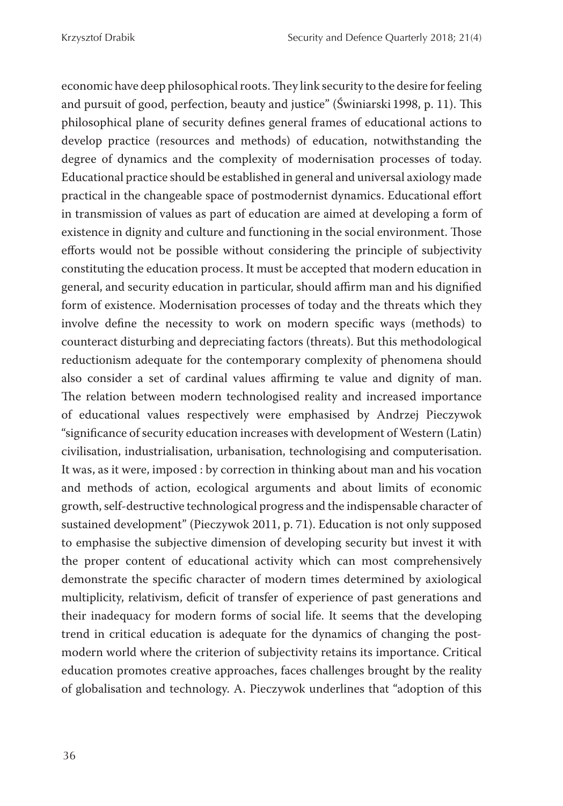economic have deep philosophical roots. They link security to the desire for feeling and pursuit of good, perfection, beauty and justice" (Świniarski 1998, p. 11). This philosophical plane of security defines general frames of educational actions to develop practice (resources and methods) of education, notwithstanding the degree of dynamics and the complexity of modernisation processes of today. Educational practice should be established in general and universal axiology made practical in the changeable space of postmodernist dynamics. Educational effort in transmission of values as part of education are aimed at developing a form of existence in dignity and culture and functioning in the social environment. Those efforts would not be possible without considering the principle of subjectivity constituting the education process. It must be accepted that modern education in general, and security education in particular, should affirm man and his dignified form of existence. Modernisation processes of today and the threats which they involve define the necessity to work on modern specific ways (methods) to counteract disturbing and depreciating factors (threats). But this methodological reductionism adequate for the contemporary complexity of phenomena should also consider a set of cardinal values affirming te value and dignity of man. The relation between modern technologised reality and increased importance of educational values respectively were emphasised by Andrzej Pieczywok "significance of security education increases with development of Western (Latin) civilisation, industrialisation, urbanisation, technologising and computerisation. It was, as it were, imposed : by correction in thinking about man and his vocation and methods of action, ecological arguments and about limits of economic growth, self-destructive technological progress and the indispensable character of sustained development" (Pieczywok 2011, p. 71). Education is not only supposed to emphasise the subjective dimension of developing security but invest it with the proper content of educational activity which can most comprehensively demonstrate the specific character of modern times determined by axiological multiplicity, relativism, deficit of transfer of experience of past generations and their inadequacy for modern forms of social life. It seems that the developing trend in critical education is adequate for the dynamics of changing the postmodern world where the criterion of subjectivity retains its importance. Critical education promotes creative approaches, faces challenges brought by the reality of globalisation and technology. A. Pieczywok underlines that "adoption of this